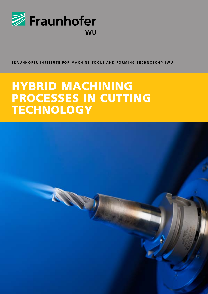

**FRAUNHOFER INSTITUT e F o R m a c hine too l s an d for m in g te c hno l o gy IWU**

# hybrid machining processes in cutting **TECHNOLOGY**

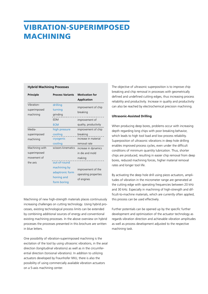### vibration-superimposed **MACHINING**

#### **Hybrid Machining Processes**

| <b>Principle</b>                              | <b>Process Variants</b>                                                      | <b>Motivation for</b><br><b>Application</b>                             |
|-----------------------------------------------|------------------------------------------------------------------------------|-------------------------------------------------------------------------|
| Vibration-<br>superimposed<br>machining       | drilling<br>turning<br>grinding<br>EDM                                       | improvement of chip<br>breaking<br>improvement of                       |
|                                               | <b>ECM</b>                                                                   | quality, productivity                                                   |
| Media-<br>superimposed<br>machining           | high pressure<br>cooling<br>cryogenic<br>cooling                             | improvement of chip<br>breaking<br>increase in material<br>removal rate |
| Machining with<br>superimposed<br>movement of | scissors kinematics                                                          | increase in dynamics<br>in die and mold<br>making                       |
| the axis                                      | out-of-round<br>machining by<br>adaptronic form<br>honing and<br>form boring | improvement of the<br>operating properties<br>of engines                |

Machining of new high-strength materials places continuously increasing challenges on cutting technology. Using hybrid processes, existing technological process limits can be extended by combining additional sources of energy and conventional existing machining processes. In the above overview on hybrid processes the processes presented in this brochure are written in blue letters.

One possibility of vibration-superimposed machining is the excitation of the tool by using ultrasonic vibrations, in the axial direction (longitudinal vibrations) as well as in the circumferential direction (torsional vibrations). In addition to utilizing actuators developed by Fraunhofer IWU, there is also the possibility of using commercially available vibration actuators on a 5-axis machining center.

The objective of ultrasonic superposition is to improve chip breaking and chip removal in processes with geometrically defined and undefined cutting edges, thus increasing process reliability and productivity. Increase in quality and productivity can also be reached by electrochemical precision machining.

#### **Ultrasonic-Assisted Drilling**

When producing deep bores, problems occur with increasing depth regarding long chips with poor breaking behavior, which leads to high tool load and low process reliability. Superposition of ultrasonic vibrations in deep hole drilling enables improved process cycles, even under the difficult conditions of minimum quantity lubrication. Thus, shorter chips are produced, resulting in easier chip removal from deep bores, reduced machining forces, higher material removal rates and longer tool life.

By activating the deep hole drill using piezo actuators, amplitudes of vibration in the micrometer range are generated at the cutting edge with operating frequencies between 20 kHz and 30 kHz. Especially in machining of high-strength and difficult-to-machine materials, which are currently often applied, this process can be used effectively.

Further potentials can be opened up by the specific further development and optimization of the actuator technology as regards vibration direction and achievable vibration amplitudes as well as process development adjusted to the respective machining task.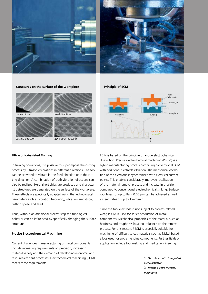



**Structures on the surface of the workpiece**



conventional feed direction



### **Ultrasonic-Assisted Turning**

In turning operations, it is possible to superimpose the cutting process by ultrasonic vibrations in different directions. The tool can be activated to vibrate in the feed direction or in the cutting direction. A combination of both vibration directions can also be realized. Here, short chips are produced and characteristic structures are generated on the surface of the workpiece. These effects are specifically adapted using the technological parameters such as vibration frequency, vibration amplitude, cutting speed and feed.

Thus, without an additional process step the tribological behavior can be influenced by specifically changing the surface structure.

#### **Precise Electrochemical Machining**

Current challenges in manufacturing of metal components include increasing requirements on precision, increasing material variety and the demand of developing economic and resource-efficient processes. Electrochemical machining (ECM) meets these requirements.

**Principle of ECM**



ECM is based on the principle of anode electrochemical dissolution. Precise electrochemical machining (PECM) is a hybrid manufacturing process combining conventional ECM with additional electrode vibration. The mechanical oscillation of the electrode is synchronized with electrical current pulses. This enables considerably improved localization of the material removal process and increase in precision compared to conventional electrochemical sinking. Surface roughness of up to  $Ra = 0.05 \mu m$  can be achieved as well as feed rates of up to 1 mm/min.

Since the tool electrode is not subject to process-related wear, PECM is used for series production of metal components. Mechanical properties of the material such as hardness and toughness have no influence on the removal process. For this reason, PECM is especially suitable for machining of difficult-to-cut materials such as Nickel-based alloys used for aircraft engine components. Further fields of application include tool making and medical engineering.

> **1** *Tool chuck with integrated piezo actuator* **2** *Precise electrochemical machining*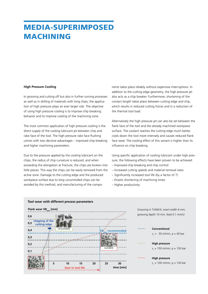# media-superimposed **MACHINING**

#### **High Pressure Cooling**

In grooving and cutting off but also in further turning processes as well as in drilling of materials with long chips, the application of high pressure plays an ever larger role. The objective of using high pressure cooling is to improve chip breaking behavior and to improve cooling of the machining zone.

The most common application of high pressure cooling is the direct supply of the cooling lubricant jet between chip and rake face of the tool. The high pressure rake face flushing comes with two decisive advantages – improved chip breaking and higher machining parameters.

Due to the pressure applied by the cooling lubricant on the chips, the radius of chip curvature is reduced, and when exceeding the elongation at fracture, the chips are broken into little pieces. This way the chips can be easily removed from the active zone. Damage to the cutting edge and the produced workpiece surface due to long uncontrolled chips can be avoided by this method, and manufacturing of the components takes place reliably without expensive interruptions. In addition to the cutting edge geometry, the high pressure jet also acts as a chip breaker. Furthermore, shortening of the contact length takes place between cutting edge and chip, which results in reduced cutting forces and in a reduction of the thermal tool load.

Alternatively the high pressure jet can also be set between the flank face of the tool and the already machined workpiece surface. The coolant reaches the cutting edge much better, cools down the tool more intensely and causes reduced flank face wear. The cooling effect of this variant is higher than its influence on chip breaking.

Using specific application of cooling lubricant under high pressure, the following effects have been proven to be achieved:

- Improved chip breaking and chip control
- Increased cutting speeds and material removal rates
- Significantly increased tool life (by a factor of 7)
- Drastic shortening of machining times
- Higher productivity



#### **Tool wear with different process parameters**

Grooving in TiAl6V4, insert width 6 mm, grooving depth 10 mm, feed 0.1 mm/U

#### **Conventional**  $v_c = 50$  m/min,  $p = 40$  bar

### **High pressure**

 $v_c = 150 \text{ m/min}, p = 150 \text{ bar}$ 

#### **High pressure**

 $v_c = 100 \text{ m/min}, p = 150 \text{ bar}$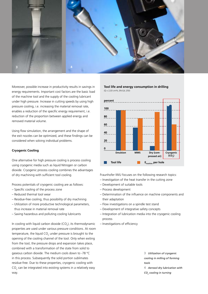

Moreover, possible increase in productivity results in savings in energy requirements. Important cost factors are the basic load of the machine tool and the supply of the cooling lubricant under high pressure. Increase in cutting speeds by using high pressure cooling, i.e. increasing the material removal rate, enables a reduction of the specific energy requirement, i.e. reduction of the proportion between applied energy and removed material volume.

Using flow simulation, the arrangement and the shape of the exit nozzles can be optimized, and these findings can be considered when solving individual problems.

#### **Cryogenic Cooling**

One alternative for high pressure cooling is process cooling using cryogenic media such as liquid Nitrogen or carbon dioxide. Cryogenic process cooling combines the advantages of dry machining with sufficient tool cooling.

Process potentials of cryogenic cooling are as follows:

- Specific cooling of the process zone
- Reduced thermal tool wear
- Residue-free cooling, thus possibility of dry machining
- Utilization of more productive technological parameters, thus increase in material removal rate
- Saving hazardous and polluting cooling lubricants

In cooling with liquid carbon dioxide (CO<sub>2</sub>), its thermodynamic properties are used under various pressure conditions. At room temperature, the liquid CO<sub>2</sub> under pressure is brought to the opening of the cooling channel of the tool. Only when exiting from the tool, the pressure drops and expansion takes place, combined with a transformation of the state from solid to gaseous carbon dioxide. The medium cools down to -78 °C in this process. Subsequently the solid portion sublimates residue-free. Due to these properties, cryogenic cooling with  $\mathsf{CO}_2$  can be integrated into existing systems in a relatively easy way.

**Tool life and energy consumption in drilling**  $(Q = 2.03 \text{ cm}^3\text{/s}, \text{EN-GJL } 250)$ 



Fraunhofer IWU focuses on the following research topics:

- Investigation of the heat transfer in the cutting zone
- Development of suitable tools
- Process development
- Determination of the influence on machine components and their adaptation
- Flow investigations on a spindle test stand
- Development of integrative safety concepts
- Integration of lubrication media into the cryogenic cooling process
- Investigations of efficiency

**3** *Utilization of cryogenic cooling in milling of forming tools*

**4** *Aerosol-dry lubrication with CO2 cooling in turning*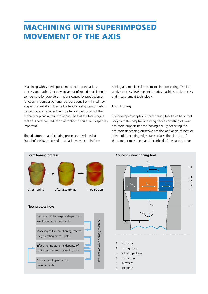## machining with superimposed movement of the axis

Machining with superimposed movement of the axis is a process approach using preventive out-of-round machining to compensate for bore deformations caused by production or function. In combustion engines, deviations from the cylinder shape substantially influence the tribological system of piston, piston ring and cylinder liner. The friction proportion of the piston group can amount to approx. half of the total engine friction. Therefore, reduction of friction in this area is especially important.

The adaptronic manufacturing processes developed at Fraunhofer IWU are based on uniaxial movement in form honing and multi-axial movements in form boring. The integrative process development includes machine, tool, process and measurement technology.

#### **Form Honing**

The developed adaptronic form honing tool has a basic tool body with the adaptronic cutting device consisting of piezo actuators, support bar and honing bar. By deflecting the actuators depending on stroke position and angle of rotation, infeed of the cutting edges takes place. The direction of the actuator movement and the infeed of the cutting edge



**Concept – new honing tool**

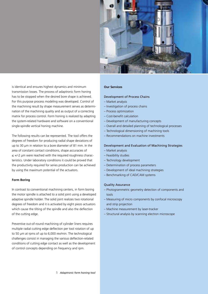

is identical and ensures highest dynamics and minimum transmission losses. The process of adaptronic form honing has to be stopped when the desired bore shape is achieved. For this purpose process modeling was developed. Control of the machining result by shape measurement serves as determination of the machining quality and as output of a correcting matrix for process control. Form honing is realized by adapting the system-related hardware and software on a conventional single-spindle vertical honing machine.

The following results can be represented. The tool offers the degrees of freedom for producing radial shape deviations of up to 30 µm in relation to a bore diameter of 81 mm. In the area of constant contact conditions, shape accuracies of ≤ +/-2 μm were reached with the required roughness characteristics. Under laboratory conditions it could be proved that the productivity required for series production can be achieved by using the maximum potential of the actuators.

#### **Form Boring**

In contrast to conventional machining centers, in form boring the motor spindle is attached to a solid joint using a developed adaptive spindle holder. The solid joint realizes two rotational degrees of freedom and it is activated by eight piezo actuators which cause the tilting of the spindle and also the deflection of the cutting edge.

Preventive out-of-round machining of cylinder liners requires multiple radial cutting edge deflection per tool rotation of up to 50 µm at rpms of up to 6,000 rev/min. The technological challenges consist in managing the various deflection-related conditions of cutting edge contact as well as the development of control concepts depending on frequency and rpm.

#### **Our Services**

#### Development of Process Chains

- Market analysis
- Investigation of process chains
- Process optimization
- Cost-benefit calculation
- Development of manufacturing concepts
- Overall and detailed planning of technological processes
- Technological dimensioning of machining tools
- Recommendations on machine investments

#### Development and Evaluation of Machining Strategies

- Market analysis
- Feasibility studies
- Technology development
- Determination of process parameters
- Development of ideal machining strategies
- Benchmarking of CAD/CAM systems

#### Quality Assurance

- Photogrammetric geometry detection of components and tools
- Measuring of micro components by confocal microscopy and strip projection
- Machine measurement by laser-tracker
- Structural analysis by scanning electron microscope